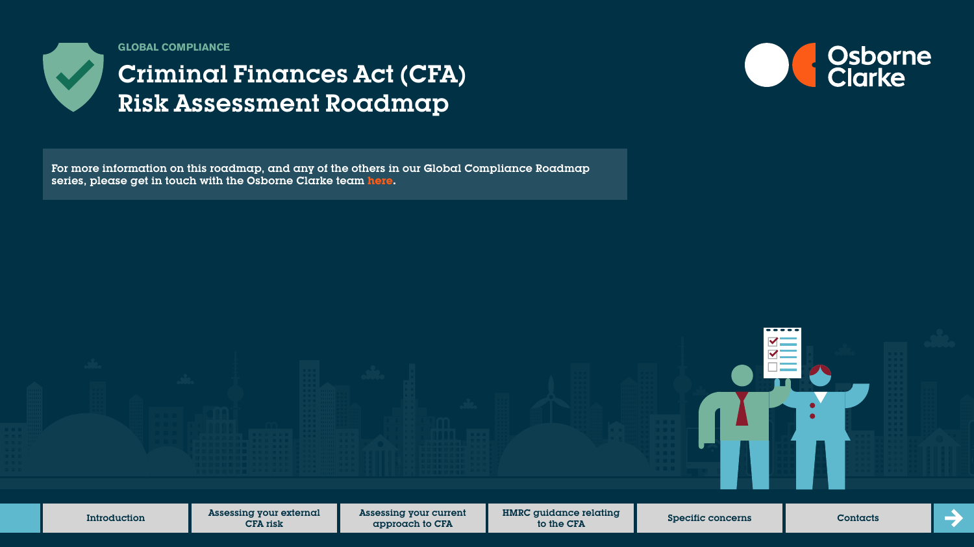

**GLOBAL COMPLIANCE**

# Criminal Finances Act (CFA) Risk Assessment Roadmap

For more information on this roadmap, and any of the others in our Global Compliance Roadmap series, please get in touch with the Osborne Clarke team **[here.](https://sites-osborneclarke.vuturevx.com/82/6426/pages/global-compliance-roadmaps.asp)**



Introduction **Assessing your external** Assessing your current HMRC guidance relating  $\rightarrow$ to the CFA Specific concerns Contacts CFA risk approach to CFA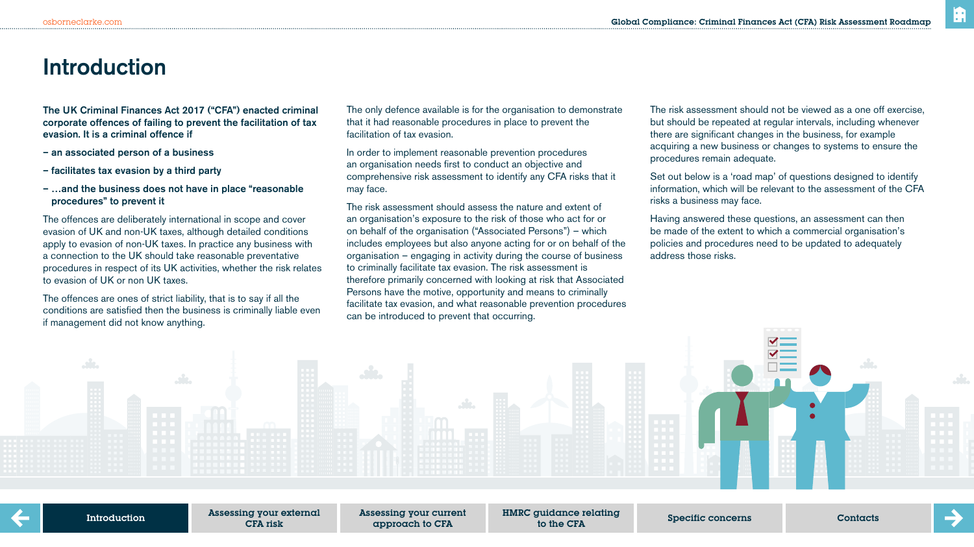### **Introduction**

The UK Criminal Finances Act 2017 ("CFA") enacted criminal corporate offences of failing to prevent the facilitation of tax evasion. It is a criminal offence if

- an associated person of a business
- facilitates tax evasion by a third party
- …and the business does not have in place "reasonable procedures" to prevent it

The offences are deliberately international in scope and cover evasion of UK and non-UK taxes, although detailed conditions apply to evasion of non-UK taxes. In practice any business with a connection to the UK should take reasonable preventative procedures in respect of its UK activities, whether the risk relates to evasion of UK or non UK taxes.

The offences are ones of strict liability, that is to say if all the conditions are satisfied then the business is criminally liable even if management did not know anything.

The only defence available is for the organisation to demonstrate that it had reasonable procedures in place to prevent the facilitation of tax evasion.

In order to implement reasonable prevention procedures an organisation needs first to conduct an objective and comprehensive risk assessment to identify any CFA risks that it may face.

The risk assessment should assess the nature and extent of an organisation's exposure to the risk of those who act for or on behalf of the organisation ("Associated Persons") – which includes employees but also anyone acting for or on behalf of the organisation – engaging in activity during the course of business to criminally facilitate tax evasion. The risk assessment is therefore primarily concerned with looking at risk that Associated Persons have the motive, opportunity and means to criminally facilitate tax evasion, and what reasonable prevention procedures can be introduced to prevent that occurring.

The risk assessment should not be viewed as a one off exercise, but should be repeated at regular intervals, including whenever there are significant changes in the business, for example acquiring a new business or changes to systems to ensure the procedures remain adequate.

Set out below is a 'road map' of questions designed to identify information, which will be relevant to the assessment of the CFA risks a business may face.

Having answered these questions, an assessment can then be made of the extent to which a commercial organisation's policies and procedures need to be updated to adequately address those risks.



Assessing your external CFA risk

Assessing your current approach to CFA

HMRC guidance relating to the CFA Specific concerns Contacts

m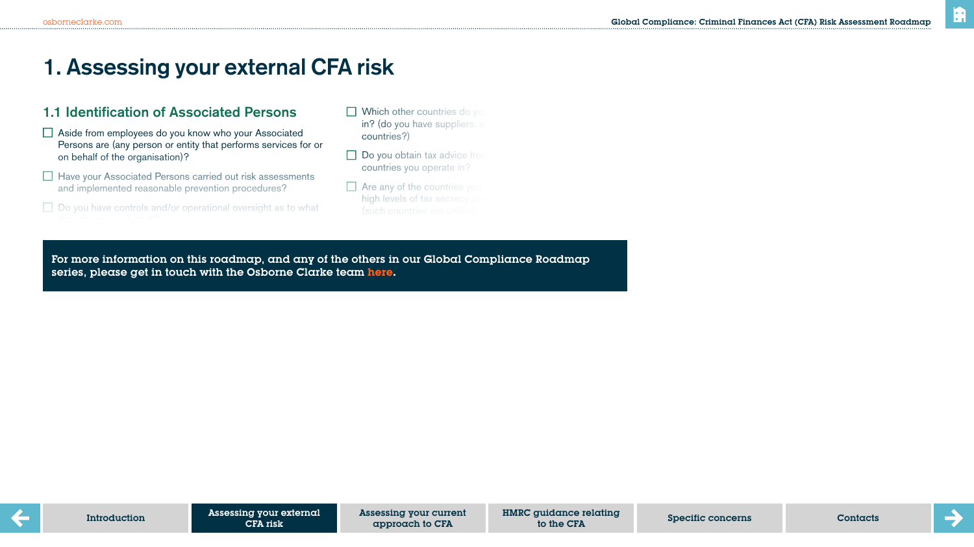## **1. Assessing your external CFA risk**

### 1.1 Identification of Associated Persons

- □ Aside from employees do you know who your Associated Persons are (any person or entity that performs services for or on behalf of the organisation)?
- $\Box$  Have your Associated Persons carried out risk assessments and implemented reasonable prevention procedures?
- $\Box$  Do you have controls and/or operational oversight as to what
- $\Box$  Which other countries do you in? (do you have suppliers, a countries?)
- $\Box$  Do you obtain tax advice from countries you operate in?
- $\Box$  Are any of the countries you high levels of tax secrecy an

according to the OECD)?

For more information on this readman, and any of the others in our Global Compliance Beadman series, please get in touch with the Osborne Clarke team <mark>[here.](https://sites-osborneclarke.vuturevx.com/82/6426/pages/global-compliance-roadmaps.asp)</mark> CFA risk: For more information on this roadmap, and any of the others in our Global Compliance Roadmap<br>series, please act in touch with the Osberne Clarke team **bese** operations, customers or suppliers)?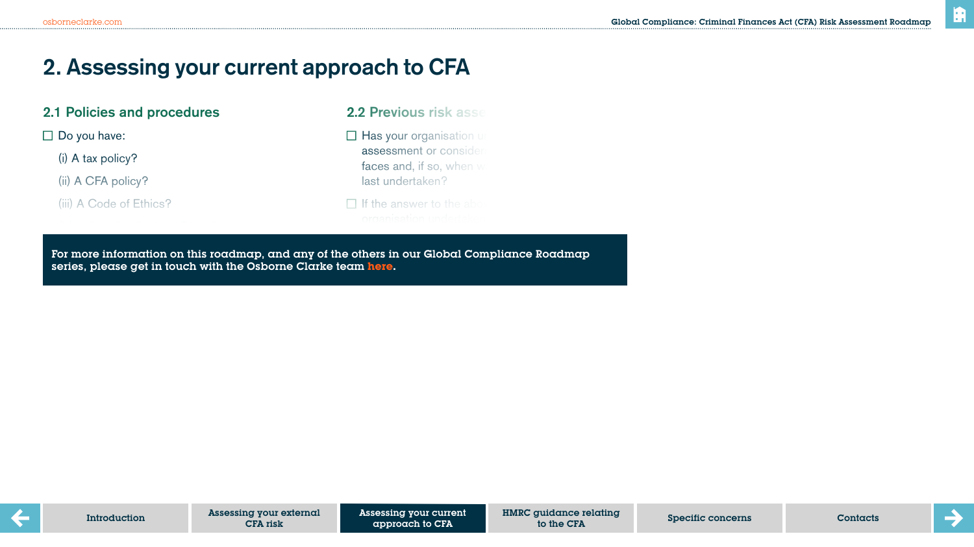## **2. Assessing your current approach to CFA**

### 2.1 Policies and procedures

 $\square$  Do you have:

(i) A tax policy?

(ii) A CFA policy?

(iii) A Code of Ethics?

### 2.2 Previous risk asse

 $\Box$  Has your organisation under assessment or consider faces and, if so, when  $w$ last undertaken?

## $\Box$  If the answer to the abo

consideration of the bribery and corruption risks

For more information on this roadmap, and any of the others in our Global Compliance Roadmap series, please get in touch with the Osborne Clarke team <mark>here.</mark><br>Explores the UKBA is similar to the UKBA is similar to the UKBA is similar to the UKBA is similar to the UKBA i  $\blacksquare$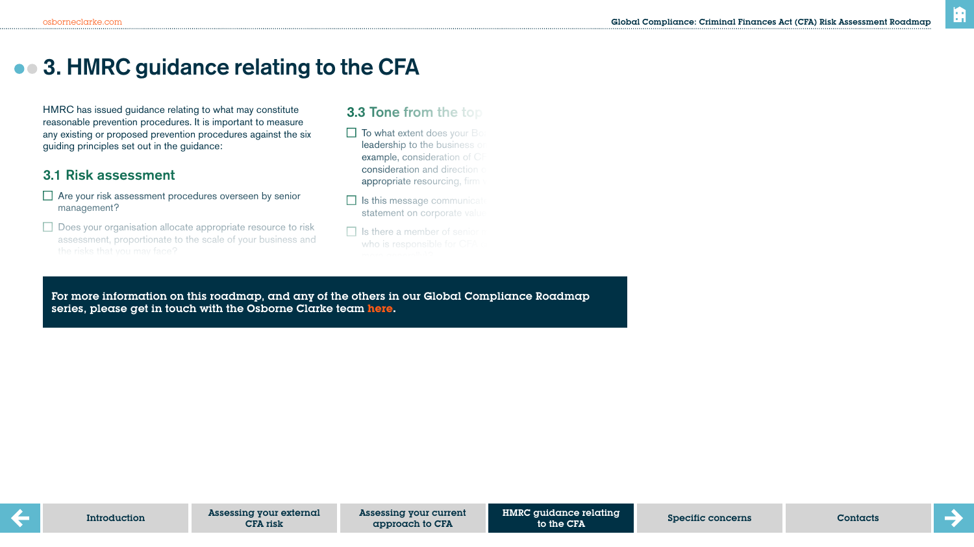## $\bullet$  **3. HMRC guidance relating to the CFA**

HMRC has issued guidance relating to what may constitute reasonable prevention procedures. It is important to measure any existing or proposed prevention procedures against the six guiding principles set out in the guidance:

### 3.1 Risk assessment

- $\Box$  Are your risk assessment procedures overseen by senior management?
- $\Box$  Does your organisation allocate appropriate resource to risk assessment, proportionate to the scale of your business and

Do you make use of relevant internal and external information

### 3.3 Tone from the top

 $\Box$  To what extent does your Board leadership to the business on example, consideration of CF consideration and direction appropriate resourcing, firm

- $\Box$  Is this message communicat statement on corporate value
- $\Box$  Is there a member of senior

Have  $\mathcal{L}_\text{max}$  support functions constraints constraints constraints constraints constraints constraints of

or more miemanon on mis reaamap, and a<br>exist risks ast in terms with the Coherne C series, please get in touch with the Osborne Clarke team <mark>here</mark>. (i.e. tax, finance, legal, compliance)? For more information on this roadmap, and any of the others in our Global Compliance Roadmap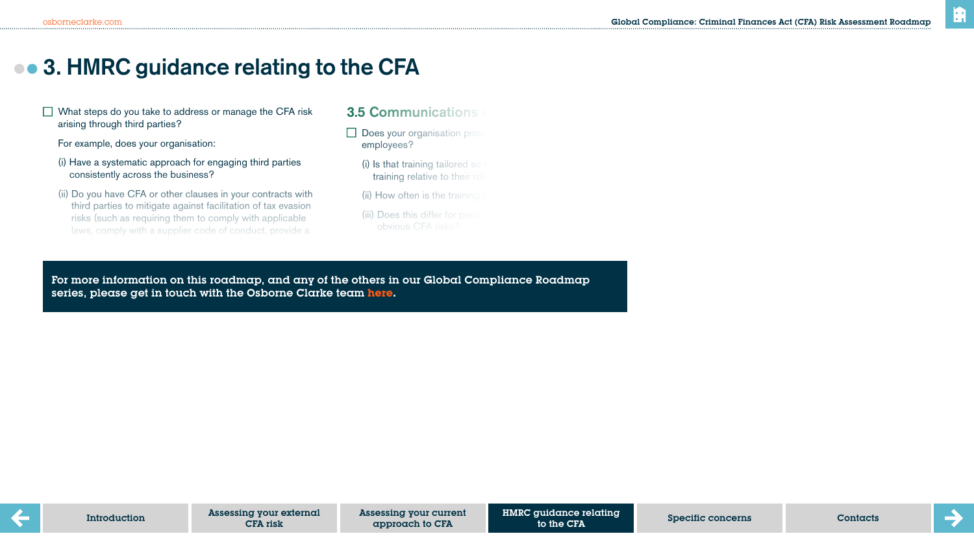## **3. HMRC guidance relating to the CFA**

 $\Box$  What steps do you take to address or manage the CFA risk arising through third parties?

For example, does your organisation:

- (i) Have a systematic approach for engaging third parties consistently across the business?
- (ii) Do you have CFA or other clauses in your contracts with third parties to mitigate against facilitation of tax evasion risks (such as requiring them to comply with applicable laws, comply with a supplier code of conduct, provide a

 $\mathcal{O}(\mathcal{O}_\mathcal{A}(\mathcal{O}_\mathcal{A}(\mathcal{O}_\mathcal{A}(\mathcal{O}_\mathcal{A}(\mathcal{O}_\mathcal{A}(\mathcal{O}_\mathcal{A}(\mathcal{O}_\mathcal{A}(\mathcal{O}_\mathcal{A}(\mathcal{O}_\mathcal{A}(\mathcal{O}_\mathcal{A}(\mathcal{O}_\mathcal{A}(\mathcal{O}_\mathcal{A}(\mathcal{O}_\mathcal{A}(\mathcal{O}_\mathcal{A}(\mathcal{O}_\mathcal{A}(\mathcal{O}_\mathcal{A}(\mathcal{O}_\mathcal{A}(\mathcal{O}_\mathcal{$ 

### **3.5 Communications**

- $\Box$  Does your organisation provide employees?
	- $(i)$  is that training tailored so training relative to their rol
	- $(iii)$  How often is the training
	- (iii) Does this differ for perso

for the training was given and who took part  $\mathcal{O}(n)$ 

be achieved?

For more information on this roadmap, and any of the others in our Global Compliance Roadmap  $\alpha$  is so, does it record when the training took place, when the training took place, when the training took place, when the training took place, when the training took place, when the training took place, when the train series, please get in touch with the Osborne Clarke team **[here.](https://sites-osborneclarke.vuturevx.com/82/6426/pages/global-compliance-roadmaps.asp)**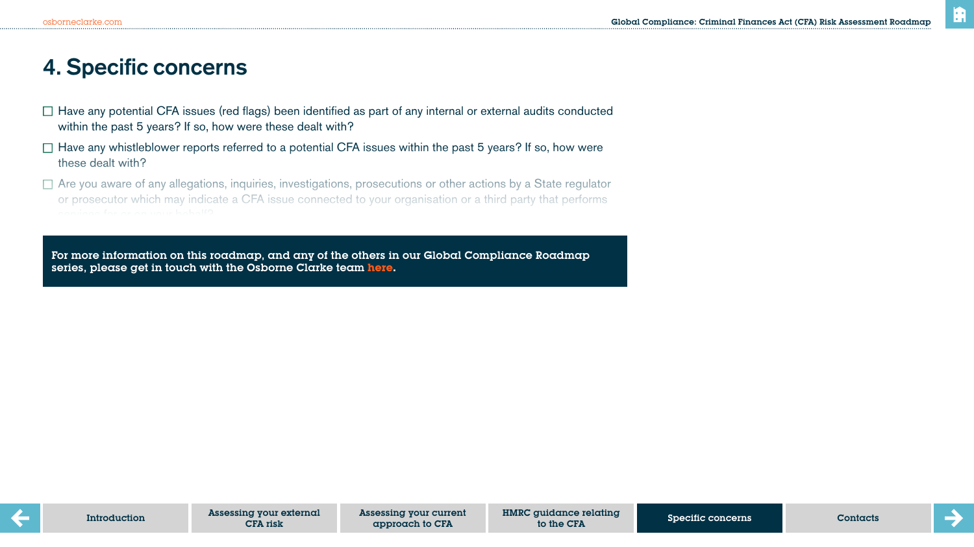## **4. Specific concerns**

- $\Box$  Have any potential CFA issues (red flags) been identified as part of any internal or external audits conducted within the past 5 years? If so, how were these dealt with?
- $\Box$  Have any whistleblower reports referred to a potential CFA issues within the past 5 years? If so, how were these dealt with?
- $\Box$  Are you aware of any allegations, inquiries, investigations, prosecutions or other actions by a State regulator or prosecutor which may indicate a CFA issue connected to your organisation or a third party that performs

Do you have any other concerns or awareness of any behaviour, or other red flags, which may indicate a

For more information on this roadmap, and any of the others in our Global Compliance Roadmap series, please get in touch with the Osborne Clarke team **[here.](https://sites-osborneclarke.vuturevx.com/82/6426/pages/global-compliance-roadmaps.asp)**